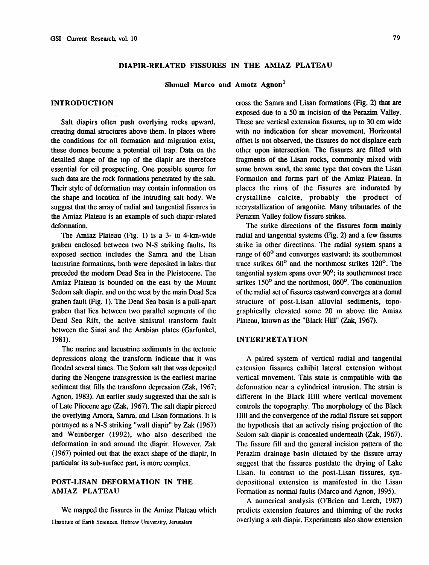# DIAPIR-RELATED FISSURES IN THE AMIAZ PLATEAU

Shmuel Marco and Amotz Agnon<sup>1</sup>

### INTRODUCTION

Salt diapirs often push overlying rocks upward, creating domal structures above them. In places where the conditions for oil formation and migration exist, these domes become a potential oil trap. Data on the detailed shape of the top of the diapir are therefore essential for oil prospecting. One possible source for such data are the rock formations penetrated by the salt. Their style of deformation may contain information on the shape and location of the intruding salt body. We suggest that the array of radial and tangential fissures in the Amiaz Plateau is an example of such diapir-related deformation.

The Amiaz Plateau (Fig. 1) is a 3- to 4-km-wide graben enclosed between two N-S striking faults. Its exposed section includes the Samra and the Lisan lacustrine formations, both were deposited in lakes that preceded the modern Dead Sea in the Pleistocene. The Amiaz Plateau is bounded on the east by the Mount Sedom salt diapir, and on the west by the main Dead Sea graben fault (Fig. 1). The Dead Sea basin is a pull-apart graben that lies between two parallel segments of the Dead Sea Rift, the active sinistral transform fault between the Sinai and the Arabian plates (Garfunkel, 1981).

The marine and lacustrine sediments in the tectonic depressions along the transform indicate that it was flooded several times. The Sedom salt that was deposited during the Neogene transgression is the earliest marine sediment that fills the transform depression (Zak, 1967; Agnon, 1983). An earlier study suggested that the salt is of Late Pliocene age (Zak, 1967). The salt diapir pierced the overlying Amora, Samra, and Lisan formations. It is portrayed as a N-S striking "wall diapir" by Zak  $(1967)$ and Weinberger (1992), who also described the deformation in and around the diapir. However, Zak (1967) pointed out that the exact shape of the diapir, in particular its sub-surface part, is more complex.

# POST-LISAN DEFORMATION IN THE AMIAZ PLATEAU

We mapped the fissures in the Amiaz Plateau which IInstitute of Earth Sciences, Hebrew University, Jerusalem

cross the Samra and Lisan formations (Fig. 2) that are exposed due to a 50 m incision of the Perazim Valley. These are vertical extension fissures, up to 30 cm wide with no indication for shear movement. Horizontal offset is not observed, the fissures do not displace each other upon intersection. The fissures are filled with fragments of the Lisan rocks, commonly mixed with some brown sand, the same type that covers the Lisan Formation and forms part of the Amiaz Plateau. In places the rims of the fissures are indurated by crystalline calcite, probably the product of recrystallization of aragonite. Many tributaries of the Perazim Valley follow fissure strikes.

The strike directions of the fissures form mainly radial and tangential systems (Fig. 2) and a few fissures strike in other directions. The radial system spans a range of 60° and converges eastward; its southernmost trace strikes 60° and the northmost strikes 120°. The tangential system spans over  $90^\circ$ ; its southernmost trace strikes  $150^{\circ}$  and the northmost,  $060^{\circ}$ . The continuation of the radial set of fissures eastward converges at a domal structure of post-Lisan alluvial sediments, topographically elevated some 20 m above the Amiaz Plateau, known as the "Black Hill" (Zak, 1967).

### **INTERPRETATION**

A paired system of vertical radial and tangential extension fissures exhibit lateral extension without vertical movement. This state is compatible with the deformation near a cylindrical intrusion. The strain is different in the Black Hill where vertical movement controls the topography. The morphology of the Black Hill and the convergence of the radial fissure set support the hypothesis that an actively rising projection of the Sedom salt diapir is concealed underneath (Zak, 1967). Thc fissure fill and the general incision pattern of the Perazim drainage basin dictated by the fissure array suggest that the fissures postdate the drying of Lake Lisan. In contrast to the post-Lisan fissures, syndepositional extension is manifested in the Lisan Fonnation as normal faults (Marco and Agnon, 1995).

A numerical analysis (O'Brien and Lerch, 1987) predicts extension features and thinning of the rocks ovcrlying a salt diapir. Experiments also show extension